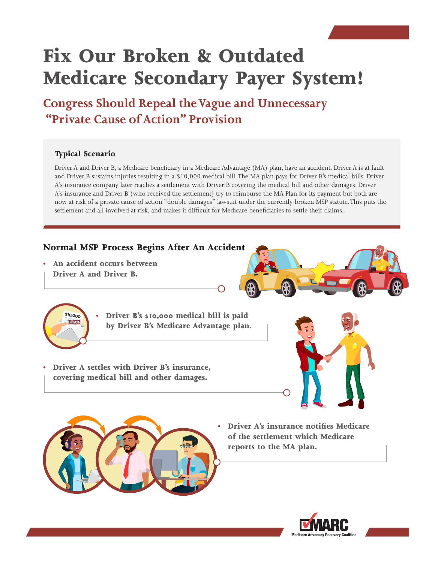# **Fix Our Broken & Outdated Medicare Secondary Payer System!**

**Congress Should Repeal the Vague and Unnecessary "Private Cause of Action" Provision**

#### **Typical Scenario**

Driver A and Driver B, a Medicare beneficiary in a Medicare Advantage (MA) plan, have an accident. Driver A is at fault and Driver B sustains injuries resulting in a \$10,000 medical bill. The MA plan pays for Driver B's medical bills. Driver A's insurance company later reaches a settlement with Driver B covering the medical bill and other damages. Driver A's insurance and Driver B (who received the settlement) try to reimburse the MA Plan for its payment but both are now at risk of a private cause of action "double damages" lawsuit under the currently broken MSP statute. This puts the settlement and all involved at risk, and makes it difficult for Medicare beneficiaries to settle their claims.

# **Normal MSP Process Begins After An Accident**

**• An accident occurs between Driver A and Driver B.** 





- **• Driver B's \$10,000 medical bill is paid by Driver B's Medicare Advantage plan.**
- **• Driver A settles with Driver B's insurance, covering medical bill and other damages.**





**• Driver A's insurance notifies Medicare of the settlement which Medicare reports to the MA plan.**